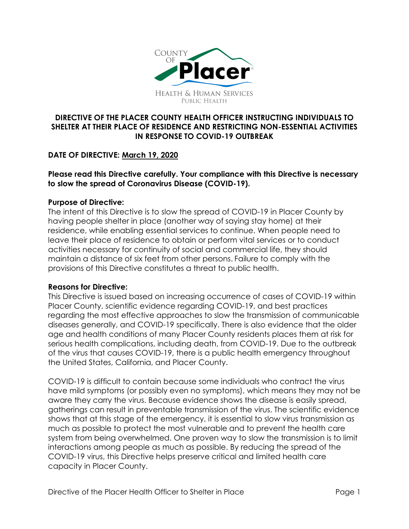

# **DIRECTIVE OF THE PLACER COUNTY HEALTH OFFICER INSTRUCTING INDIVIDUALS TO SHELTER AT THEIR PLACE OF RESIDENCE AND RESTRICTING NON-ESSENTIAL ACTIVITIES IN RESPONSE TO COVID-19 OUTBREAK**

# **DATE OF DIRECTIVE: March 19, 2020**

### **Please read this Directive carefully. Your compliance with this Directive is necessary to slow the spread of Coronavirus Disease (COVID-19).**

### **Purpose of Directive:**

The intent of this Directive is to slow the spread of COVID-19 in Placer County by having people shelter in place (another way of saying stay home) at their residence, while enabling essential services to continue. When people need to leave their place of residence to obtain or perform vital services or to conduct activities necessary for continuity of social and commercial life, they should maintain a distance of six feet from other persons. Failure to comply with the provisions of this Directive constitutes a threat to public health.

#### **Reasons for Directive:**

This Directive is issued based on increasing occurrence of cases of COVID-19 within Placer County, scientific evidence regarding COVID-19, and best practices regarding the most effective approaches to slow the transmission of communicable diseases generally, and COVID-19 specifically. There is also evidence that the older age and health conditions of many Placer County residents places them at risk for serious health complications, including death, from COVID-19. Due to the outbreak of the virus that causes COVID-19, there is a public health emergency throughout the United States, California, and Placer County.

COVID-19 is difficult to contain because some individuals who contract the virus have mild symptoms (or possibly even no symptoms), which means they may not be aware they carry the virus. Because evidence shows the disease is easily spread, gatherings can result in preventable transmission of the virus. The scientific evidence shows that at this stage of the emergency, it is essential to slow virus transmission as much as possible to protect the most vulnerable and to prevent the health care system from being overwhelmed. One proven way to slow the transmission is to limit interactions among people as much as possible. By reducing the spread of the COVID-19 virus, this Directive helps preserve critical and limited health care capacity in Placer County.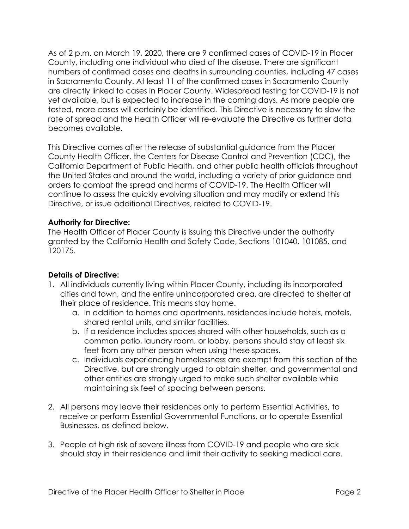As of 2 p.m. on March 19, 2020, there are 9 confirmed cases of COVID-19 in Placer County, including one individual who died of the disease. There are significant numbers of confirmed cases and deaths in surrounding counties, including 47 cases in Sacramento County. At least 11 of the confirmed cases in Sacramento County are directly linked to cases in Placer County. Widespread testing for COVID-19 is not yet available, but is expected to increase in the coming days. As more people are tested, more cases will certainly be identified. This Directive is necessary to slow the rate of spread and the Health Officer will re-evaluate the Directive as further data becomes available.

This Directive comes after the release of substantial guidance from the Placer County Health Officer, the Centers for Disease Control and Prevention (CDC), the California Department of Public Health, and other public health officials throughout the United States and around the world, including a variety of prior guidance and orders to combat the spread and harms of COVID-19. The Health Officer will continue to assess the quickly evolving situation and may modify or extend this Directive, or issue additional Directives, related to COVID-19.

### **Authority for Directive:**

The Health Officer of Placer County is issuing this Directive under the authority granted by the California Health and Safety Code, Sections 101040, 101085, and 120175.

### **Details of Directive:**

- 1. All individuals currently living within Placer County, including its incorporated cities and town, and the entire unincorporated area, are directed to shelter at their place of residence. This means stay home.
	- a. In addition to homes and apartments, residences include hotels, motels, shared rental units, and similar facilities.
	- b. If a residence includes spaces shared with other households, such as a common patio, laundry room, or lobby, persons should stay at least six feet from any other person when using these spaces.
	- c. Individuals experiencing homelessness are exempt from this section of the Directive, but are strongly urged to obtain shelter, and governmental and other entities are strongly urged to make such shelter available while maintaining six feet of spacing between persons.
- 2. All persons may leave their residences only to perform Essential Activities, to receive or perform Essential Governmental Functions, or to operate Essential Businesses, as defined below.
- 3. People at high risk of severe illness from COVID-19 and people who are sick should stay in their residence and limit their activity to seeking medical care.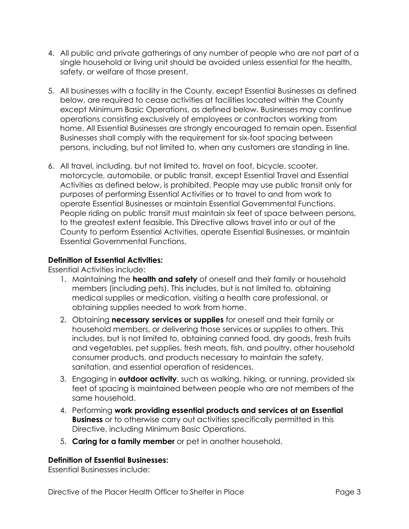- 4. All public and private gatherings of any number of people who are not part of a single household or living unit should be avoided unless essential for the health, safety, or welfare of those present.
- 5. All businesses with a facility in the County, except Essential Businesses as defined below, are required to cease activities at facilities located within the County except Minimum Basic Operations, as defined below. Businesses may continue operations consisting exclusively of employees or contractors working from home. All Essential Businesses are strongly encouraged to remain open. Essential Businesses shall comply with the requirement for six-foot spacing between persons, including, but not limited to, when any customers are standing in line.
- 6. All travel, including, but not limited to, travel on foot, bicycle, scooter, motorcycle, automobile, or public transit, except Essential Travel and Essential Activities as defined below, is prohibited. People may use public transit only for purposes of performing Essential Activities or to travel to and from work to operate Essential Businesses or maintain Essential Governmental Functions. People riding on public transit must maintain six feet of space between persons, to the greatest extent feasible. This Directive allows travel into or out of the County to perform Essential Activities, operate Essential Businesses, or maintain Essential Governmental Functions.

# **Definition of Essential Activities:**

Essential Activities include:

- 1. Maintaining the **health and safety** of oneself and their family or household members (including pets). This includes, but is not limited to, obtaining medical supplies or medication, visiting a health care professional, or obtaining supplies needed to work from home.
- 2. Obtaining **necessary services or supplies** for oneself and their family or household members, or delivering those services or supplies to others. This includes, but is not limited to, obtaining canned food, dry goods, fresh fruits and vegetables, pet supplies, fresh meats, fish, and poultry, other household consumer products, and products necessary to maintain the safety, sanitation, and essential operation of residences.
- 3. Engaging in **outdoor activity**, such as walking, hiking, or running, provided six feet of spacing is maintained between people who are not members of the same household.
- 4. Performing **work providing essential products and services at an Essential Business** or to otherwise carry out activities specifically permitted in this Directive, including Minimum Basic Operations.
- 5. **Caring for a family member** or pet in another household.

### **Definition of Essential Businesses:**

Essential Businesses include: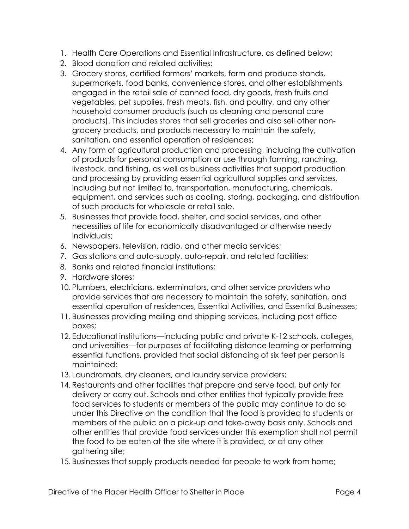- 1. Health Care Operations and Essential Infrastructure, as defined below;
- 2. Blood donation and related activities;
- 3. Grocery stores, certified farmers' markets, farm and produce stands, supermarkets, food banks, convenience stores, and other establishments engaged in the retail sale of canned food, dry goods, fresh fruits and vegetables, pet supplies, fresh meats, fish, and poultry, and any other household consumer products (such as cleaning and personal care products). This includes stores that sell groceries and also sell other nongrocery products, and products necessary to maintain the safety, sanitation, and essential operation of residences;
- 4. Any form of agricultural production and processing, including the cultivation of products for personal consumption or use through farming, ranching, livestock, and fishing, as well as business activities that support production and processing by providing essential agricultural supplies and services, including but not limited to, transportation, manufacturing, chemicals, equipment, and services such as cooling, storing, packaging, and distribution of such products for wholesale or retail sale.
- 5. Businesses that provide food, shelter, and social services, and other necessities of life for economically disadvantaged or otherwise needy individuals;
- 6. Newspapers, television, radio, and other media services;
- 7. Gas stations and auto-supply, auto-repair, and related facilities;
- 8. Banks and related financial institutions;
- 9. Hardware stores;
- 10. Plumbers, electricians, exterminators, and other service providers who provide services that are necessary to maintain the safety, sanitation, and essential operation of residences, Essential Activities, and Essential Businesses;
- 11. Businesses providing mailing and shipping services, including post office boxes;
- 12. Educational institutions—including public and private K-12 schools, colleges, and universities—for purposes of facilitating distance learning or performing essential functions, provided that social distancing of six feet per person is maintained;
- 13. Laundromats, dry cleaners, and laundry service providers;
- 14. Restaurants and other facilities that prepare and serve food, but only for delivery or carry out. Schools and other entities that typically provide free food services to students or members of the public may continue to do so under this Directive on the condition that the food is provided to students or members of the public on a pick-up and take-away basis only. Schools and other entities that provide food services under this exemption shall not permit the food to be eaten at the site where it is provided, or at any other gathering site;
- 15. Businesses that supply products needed for people to work from home;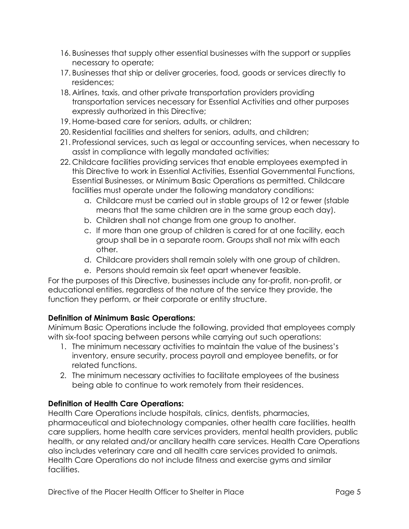- 16. Businesses that supply other essential businesses with the support or supplies necessary to operate;
- 17. Businesses that ship or deliver groceries, food, goods or services directly to residences;
- 18. Airlines, taxis, and other private transportation providers providing transportation services necessary for Essential Activities and other purposes expressly authorized in this Directive;
- 19. Home-based care for seniors, adults, or children;
- 20. Residential facilities and shelters for seniors, adults, and children;
- 21. Professional services, such as legal or accounting services, when necessary to assist in compliance with legally mandated activities;
- 22. Childcare facilities providing services that enable employees exempted in this Directive to work in Essential Activities, Essential Governmental Functions, Essential Businesses, or Minimum Basic Operations as permitted. Childcare facilities must operate under the following mandatory conditions:
	- a. Childcare must be carried out in stable groups of 12 or fewer (stable means that the same children are in the same group each day).
	- b. Children shall not change from one group to another.
	- c. If more than one group of children is cared for at one facility, each group shall be in a separate room. Groups shall not mix with each other.
	- d. Childcare providers shall remain solely with one group of children.
	- e. Persons should remain six feet apart whenever feasible.

For the purposes of this Directive, businesses include any for-profit, non-profit, or educational entities, regardless of the nature of the service they provide, the function they perform, or their corporate or entity structure.

### **Definition of Minimum Basic Operations:**

Minimum Basic Operations include the following, provided that employees comply with six-foot spacing between persons while carrying out such operations:

- 1. The minimum necessary activities to maintain the value of the business's inventory, ensure security, process payroll and employee benefits, or for related functions.
- 2. The minimum necessary activities to facilitate employees of the business being able to continue to work remotely from their residences.

# **Definition of Health Care Operations:**

Health Care Operations include hospitals, clinics, dentists, pharmacies, pharmaceutical and biotechnology companies, other health care facilities, health care suppliers, home health care services providers, mental health providers, public health, or any related and/or ancillary health care services. Health Care Operations also includes veterinary care and all health care services provided to animals. Health Care Operations do not include fitness and exercise gyms and similar facilities.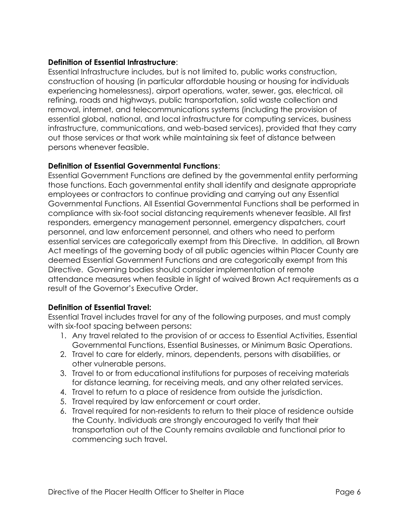# **Definition of Essential Infrastructure**:

Essential Infrastructure includes, but is not limited to, public works construction, construction of housing (in particular affordable housing or housing for individuals experiencing homelessness), airport operations, water, sewer, gas, electrical, oil refining, roads and highways, public transportation, solid waste collection and removal, internet, and telecommunications systems (including the provision of essential global, national, and local infrastructure for computing services, business infrastructure, communications, and web-based services), provided that they carry out those services or that work while maintaining six feet of distance between persons whenever feasible.

# **Definition of Essential Governmental Functions**:

Essential Government Functions are defined by the governmental entity performing those functions. Each governmental entity shall identify and designate appropriate employees or contractors to continue providing and carrying out any Essential Governmental Functions. All Essential Governmental Functions shall be performed in compliance with six-foot social distancing requirements whenever feasible. All first responders, emergency management personnel, emergency dispatchers, court personnel, and law enforcement personnel, and others who need to perform essential services are categorically exempt from this Directive. In addition, all Brown Act meetings of the governing body of all public agencies within Placer County are deemed Essential Government Functions and are categorically exempt from this Directive. Governing bodies should consider implementation of remote attendance measures when feasible in light of waived Brown Act requirements as a result of the Governor's Executive Order.

# **Definition of Essential Travel:**

Essential Travel includes travel for any of the following purposes, and must comply with six-foot spacing between persons:

- 1. Any travel related to the provision of or access to Essential Activities, Essential Governmental Functions, Essential Businesses, or Minimum Basic Operations.
- 2. Travel to care for elderly, minors, dependents, persons with disabilities, or other vulnerable persons.
- 3. Travel to or from educational institutions for purposes of receiving materials for distance learning, for receiving meals, and any other related services.
- 4. Travel to return to a place of residence from outside the jurisdiction.
- 5. Travel required by law enforcement or court order.
- 6. Travel required for non-residents to return to their place of residence outside the County. Individuals are strongly encouraged to verify that their transportation out of the County remains available and functional prior to commencing such travel.